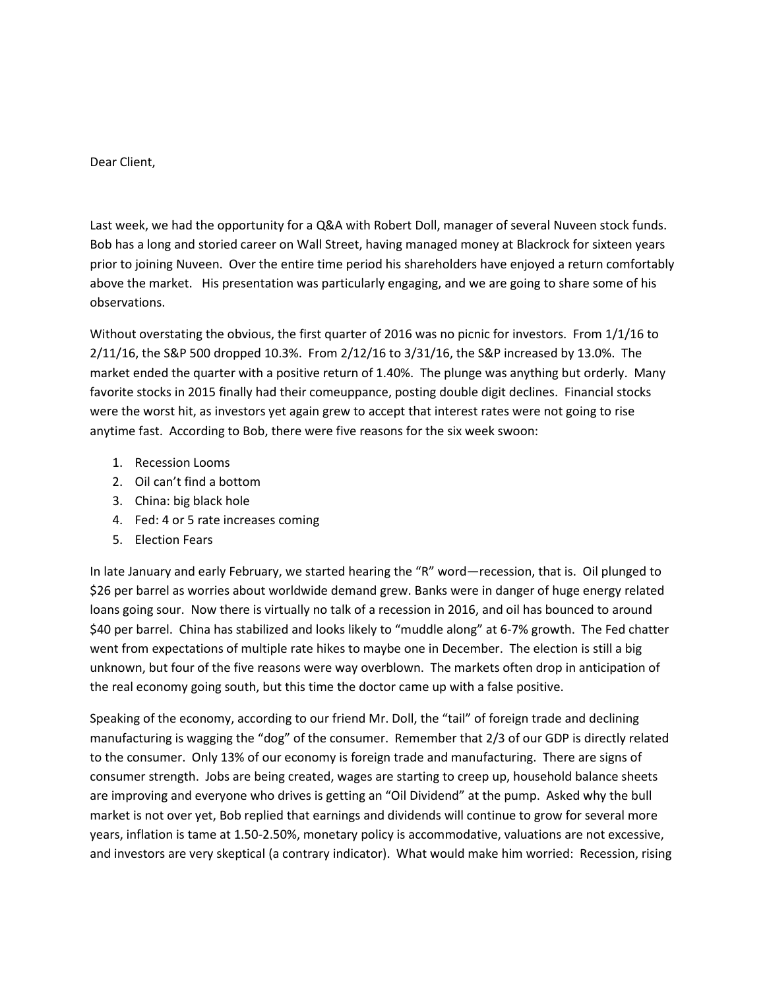Dear Client,

Last week, we had the opportunity for a Q&A with Robert Doll, manager of several Nuveen stock funds. Bob has a long and storied career on Wall Street, having managed money at Blackrock for sixteen years prior to joining Nuveen. Over the entire time period his shareholders have enjoyed a return comfortably above the market. His presentation was particularly engaging, and we are going to share some of his observations.

Without overstating the obvious, the first quarter of 2016 was no picnic for investors. From 1/1/16 to 2/11/16, the S&P 500 dropped 10.3%. From 2/12/16 to 3/31/16, the S&P increased by 13.0%. The market ended the quarter with a positive return of 1.40%. The plunge was anything but orderly. Many favorite stocks in 2015 finally had their comeuppance, posting double digit declines. Financial stocks were the worst hit, as investors yet again grew to accept that interest rates were not going to rise anytime fast. According to Bob, there were five reasons for the six week swoon:

- 1. Recession Looms
- 2. Oil can't find a bottom
- 3. China: big black hole
- 4. Fed: 4 or 5 rate increases coming
- 5. Election Fears

In late January and early February, we started hearing the "R" word—recession, that is. Oil plunged to \$26 per barrel as worries about worldwide demand grew. Banks were in danger of huge energy related loans going sour. Now there is virtually no talk of a recession in 2016, and oil has bounced to around \$40 per barrel. China has stabilized and looks likely to "muddle along" at 6-7% growth. The Fed chatter went from expectations of multiple rate hikes to maybe one in December. The election is still a big unknown, but four of the five reasons were way overblown. The markets often drop in anticipation of the real economy going south, but this time the doctor came up with a false positive.

Speaking of the economy, according to our friend Mr. Doll, the "tail" of foreign trade and declining manufacturing is wagging the "dog" of the consumer. Remember that 2/3 of our GDP is directly related to the consumer. Only 13% of our economy is foreign trade and manufacturing. There are signs of consumer strength. Jobs are being created, wages are starting to creep up, household balance sheets are improving and everyone who drives is getting an "Oil Dividend" at the pump. Asked why the bull market is not over yet, Bob replied that earnings and dividends will continue to grow for several more years, inflation is tame at 1.50-2.50%, monetary policy is accommodative, valuations are not excessive, and investors are very skeptical (a contrary indicator). What would make him worried: Recession, rising